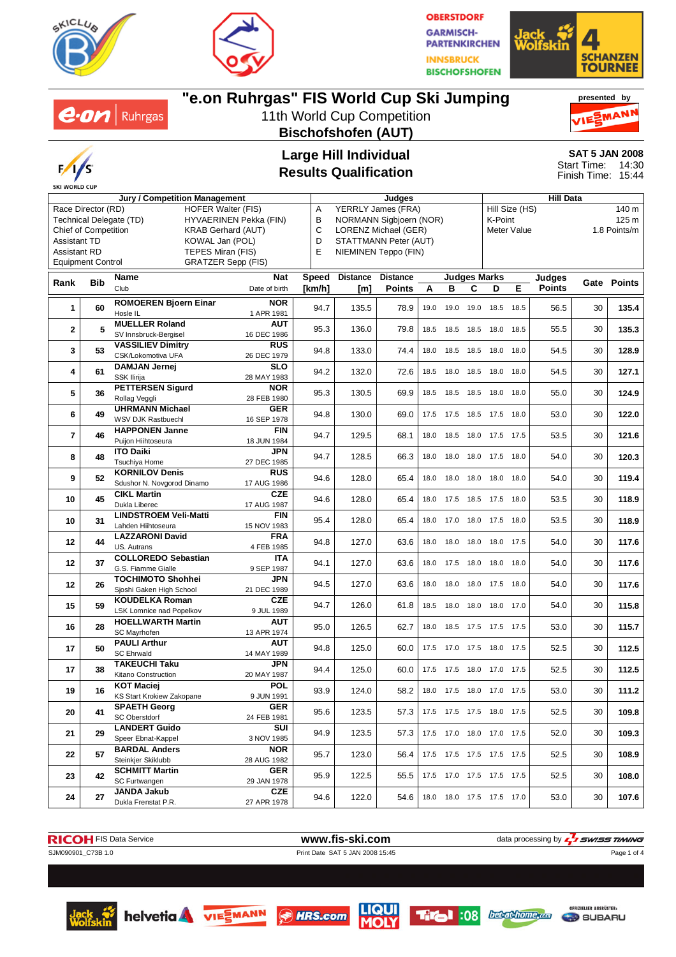

 $2\cdot$ OM | Ruhrgas



**OBERSTDORF GARMISCH-PARTENKIRCHEN INNSBRUCK BISCHOFSHOFEN** 



#### **"e.on Ruhrgas" FIS World Cup Ski Jumping presented by** ESMANN 11th World Cup Competition **Bischofshofen (AUT) Large Hill Individual SAT 5 JAN 2008** Start Time: 14:30 **Results Qualification** Finish Time: 15:44  $\frac{1}{\sqrt{2}}$  Judges **Jury / Competition Management Judges Hill Data** Hill Size (HS) 140 m B NORMANN Sigbjoern (NOR) C LORENZ Michael (GER) D STATTMANN Peter (AUT) E NIEMINEN Teppo (FIN) **Nat Speed Judges Marks Distance Distance Judges [km/h] [m] Points ABCDE** Date of birth



| Race Director (RD)<br><b>HOFER Walter (FIS)</b><br>Technical Delegate (TD)<br>HYVAERINEN Pekka (FIN)<br><b>Chief of Competition</b><br><b>KRAB Gerhard (AUT)</b><br><b>Assistant TD</b><br>KOWAL Jan (POL)<br><b>Assistant RD</b><br>TEPES Miran (FIS)<br><b>Equipment Control</b><br><b>GRATZER Sepp (FIS)</b> |     |                                                                     | Α<br>YERRLY James (FRA)<br>В<br>NORMANN Sigbjoern (NOR)<br>С<br>LORENZ Michael (GER)<br>D<br>STATTMANN Peter (AUT)<br>E<br>NIEMINEN Teppo (FIN) |        |                 |                 |      |                     | K-Point | Hill Size (HS)<br>Meter Value | 140 m<br>125 m<br>1.8 Points/m |               |    |             |
|-----------------------------------------------------------------------------------------------------------------------------------------------------------------------------------------------------------------------------------------------------------------------------------------------------------------|-----|---------------------------------------------------------------------|-------------------------------------------------------------------------------------------------------------------------------------------------|--------|-----------------|-----------------|------|---------------------|---------|-------------------------------|--------------------------------|---------------|----|-------------|
| Rank                                                                                                                                                                                                                                                                                                            | Bib | Name                                                                | <b>Nat</b>                                                                                                                                      | Speed  | <b>Distance</b> | <b>Distance</b> |      |                     |         | Judges Marks                  |                                | Judges        |    | Gate Points |
|                                                                                                                                                                                                                                                                                                                 |     | Club                                                                | Date of birth                                                                                                                                   | [km/h] | [m]             | <b>Points</b>   | A    | в                   | С       | D                             | Е                              | <b>Points</b> |    |             |
| 1                                                                                                                                                                                                                                                                                                               | 60  | <b>ROMOEREN Bjoern Einar</b><br>Hosle IL                            | <b>NOR</b><br>1 APR 1981                                                                                                                        | 94.7   | 135.5           | 78.9            | 19.0 | 19.0 19.0           |         | 18.5                          | 18.5                           | 56.5          | 30 | 135.4       |
| $\mathbf{2}$                                                                                                                                                                                                                                                                                                    | 5   | <b>MUELLER Roland</b><br>SV Innsbruck-Bergisel                      | AUT<br>16 DEC 1986                                                                                                                              | 95.3   | 136.0           | 79.8            | 18.5 | 18.5                | 18.5    | 18.0                          | 18.5                           | 55.5          | 30 | 135.3       |
| 3                                                                                                                                                                                                                                                                                                               | 53  | <b>VASSILIEV Dimitry</b><br>CSK/Lokomotiva UFA                      | <b>RUS</b><br>26 DEC 1979                                                                                                                       | 94.8   | 133.0           | 74.4            | 18.0 |                     |         | 18.5 18.5 18.0                | 18.0                           | 54.5          | 30 | 128.9       |
| 4                                                                                                                                                                                                                                                                                                               | 61  | <b>DAMJAN Jernej</b><br>SSK Ilirija                                 | <b>SLO</b><br>28 MAY 1983                                                                                                                       | 94.2   | 132.0           | 72.6            |      | 18.5 18.0 18.5 18.0 |         |                               | 18.0                           | 54.5          | 30 | 127.1       |
| 5                                                                                                                                                                                                                                                                                                               | 36  | <b>PETTERSEN Sigurd</b><br>Rollag Veggli                            | <b>NOR</b><br>28 FEB 1980                                                                                                                       | 95.3   | 130.5           | 69.9            |      |                     |         | 18.5 18.5 18.5 18.0 18.0      |                                | 55.0          | 30 | 124.9       |
| 6                                                                                                                                                                                                                                                                                                               | 49  | <b>UHRMANN Michael</b><br>WSV DJK Rastbuechl                        | <b>GER</b><br>16 SEP 1978                                                                                                                       | 94.8   | 130.0           | 69.0            | 17.5 | 17.5                |         | 18.5 17.5                     | 18.0                           | 53.0          | 30 | 122.0       |
| $\overline{\mathbf{r}}$                                                                                                                                                                                                                                                                                         | 46  | <b>HAPPONEN Janne</b><br>Puijon Hiihtoseura                         | <b>FIN</b><br>18 JUN 1984                                                                                                                       | 94.7   | 129.5           | 68.1            | 18.0 | 18.5                |         | 18.0 17.5 17.5                |                                | 53.5          | 30 | 121.6       |
| 8                                                                                                                                                                                                                                                                                                               | 48  | <b>ITO Daiki</b><br>Tsuchiya Home                                   | JPN<br>27 DEC 1985                                                                                                                              | 94.7   | 128.5           | 66.3            | 18.0 | 18.0                |         | 18.0 17.5                     | 18.0                           | 54.0          | 30 | 120.3       |
| 9                                                                                                                                                                                                                                                                                                               | 52  | <b>KORNILOV Denis</b><br>Sdushor N. Novgorod Dinamo                 | RUS<br>17 AUG 1986                                                                                                                              | 94.6   | 128.0           | 65.4            | 18.0 | 18.0                |         | 18.0 18.0                     | 18.0                           | 54.0          | 30 | 119.4       |
| 10                                                                                                                                                                                                                                                                                                              | 45  | <b>CIKL Martin</b><br>Dukla Liberec                                 | CZE<br>17 AUG 1987                                                                                                                              | 94.6   | 128.0           | 65.4            | 18.0 | 17.5                |         | 18.5 17.5 18.0                |                                | 53.5          | 30 | 118.9       |
| 10                                                                                                                                                                                                                                                                                                              | 31  | <b>LINDSTROEM Veli-Matti</b><br>Lahden Hiihtoseura                  | FIN<br>15 NOV 1983                                                                                                                              | 95.4   | 128.0           | 65.4            | 18.0 | 17.0                |         | 18.0 17.5 18.0                |                                | 53.5          | 30 | 118.9       |
| 12                                                                                                                                                                                                                                                                                                              | 44  | <b>LAZZARONI David</b><br>US. Autrans<br><b>COLLOREDO Sebastian</b> | <b>FRA</b><br>4 FEB 1985<br>ITA                                                                                                                 | 94.8   | 127.0           | 63.6            |      |                     |         | 18.0 18.0 18.0 18.0 17.5      |                                | 54.0          | 30 | 117.6       |
| 12                                                                                                                                                                                                                                                                                                              | 37  | G.S. Fiamme Gialle<br><b>TOCHIMOTO Shohhei</b>                      | 9 SEP 1987<br><b>JPN</b>                                                                                                                        | 94.1   | 127.0           | 63.6            | 18.0 | 17.5                |         | 18.0 18.0                     | 18.0                           | 54.0          | 30 | 117.6       |
| 12                                                                                                                                                                                                                                                                                                              | 26  | Sjoshi Gaken High School<br><b>KOUDELKA Roman</b>                   | 21 DEC 1989<br><b>CZE</b>                                                                                                                       | 94.5   | 127.0           | 63.6            | 18.0 | 18.0                |         | 18.0 17.5 18.0                |                                | 54.0          | 30 | 117.6       |
| 15                                                                                                                                                                                                                                                                                                              | 59  | LSK Lomnice nad Popelkov<br><b>HOELLWARTH Martin</b>                | 9 JUL 1989<br><b>AUT</b>                                                                                                                        | 94.7   | 126.0           | 61.8            | 18.5 | 18.0                | 18.0    | 18.0                          | 17.0                           | 54.0          | 30 | 115.8       |
| 16                                                                                                                                                                                                                                                                                                              | 28  | SC Mayrhofen<br><b>PAULI Arthur</b>                                 | 13 APR 1974<br><b>AUT</b>                                                                                                                       | 95.0   | 126.5           | 62.7            | 18.0 | 18.5                |         | 17.5 17.5 17.5                |                                | 53.0          | 30 | 115.7       |
| 17                                                                                                                                                                                                                                                                                                              | 50  | <b>SC Ehrwald</b><br><b>TAKEUCHI Taku</b>                           | 14 MAY 1989<br>JPN                                                                                                                              | 94.8   | 125.0           | 60.0            |      | 17.5 17.0           |         | 17.5 18.0 17.5                |                                | 52.5          | 30 | 112.5       |
| 17                                                                                                                                                                                                                                                                                                              | 38  | Kitano Construction<br><b>KOT Maciej</b>                            | 20 MAY 1987<br><b>POL</b>                                                                                                                       | 94.4   | 125.0           | 60.0            |      | 17.5 17.5           |         | 18.0 17.0 17.5                |                                | 52.5          | 30 | 112.5       |
| 19                                                                                                                                                                                                                                                                                                              | 16  | KS Start Krokiew Zakopane<br><b>SPAETH Georg</b>                    | 9 JUN 1991<br><b>GER</b>                                                                                                                        | 93.9   | 124.0           | 58.2            | 18.0 | 17.5                |         | 18.0 17.0 17.5                |                                | 53.0          | 30 | 111.2       |
| 20                                                                                                                                                                                                                                                                                                              | 41  | SC Oberstdorf<br><b>LANDERT Guido</b>                               | 24 FEB 1981<br>SUI                                                                                                                              | 95.6   | 123.5           | 57.3            |      |                     |         | 17.5 17.5 17.5 18.0 17.5      |                                | 52.5          | 30 | 109.8       |
| 21                                                                                                                                                                                                                                                                                                              | 29  | Speer Ebnat-Kappel<br><b>BARDAL Anders</b>                          | 3 NOV 1985<br>NOR.                                                                                                                              | 94.9   | 123.5           | 57.3            |      |                     |         | 17.5 17.0 18.0 17.0 17.5      |                                | 52.0          | 30 | 109.3       |
| 22                                                                                                                                                                                                                                                                                                              | 57  | Steinkjer Skiklubb<br><b>SCHMITT Martin</b>                         | 28 AUG 1982<br><b>GER</b>                                                                                                                       | 95.7   | 123.0           | 56.4            |      |                     |         | 17.5 17.5 17.5 17.5 17.5      |                                | 52.5          | 30 | 108.9       |
| 23                                                                                                                                                                                                                                                                                                              | 42  | SC Furtwangen<br><b>JANDA Jakub</b>                                 | 29 JAN 1978<br><b>CZE</b>                                                                                                                       | 95.9   | 122.5           | 55.5            |      |                     |         | 17.5 17.0 17.5 17.5 17.5      |                                | 52.5          | 30 | 108.0       |
| 24                                                                                                                                                                                                                                                                                                              | 27  | Dukla Frenstat P.R.                                                 | 27 APR 1978                                                                                                                                     | 94.6   | 122.0           | 54.6            |      |                     |         | 18.0 18.0 17.5 17.5 17.0      |                                | 53.0          | 30 | 107.6       |



helvetia VIE MANN SHRS.com



**Titol** :08 becathome.com



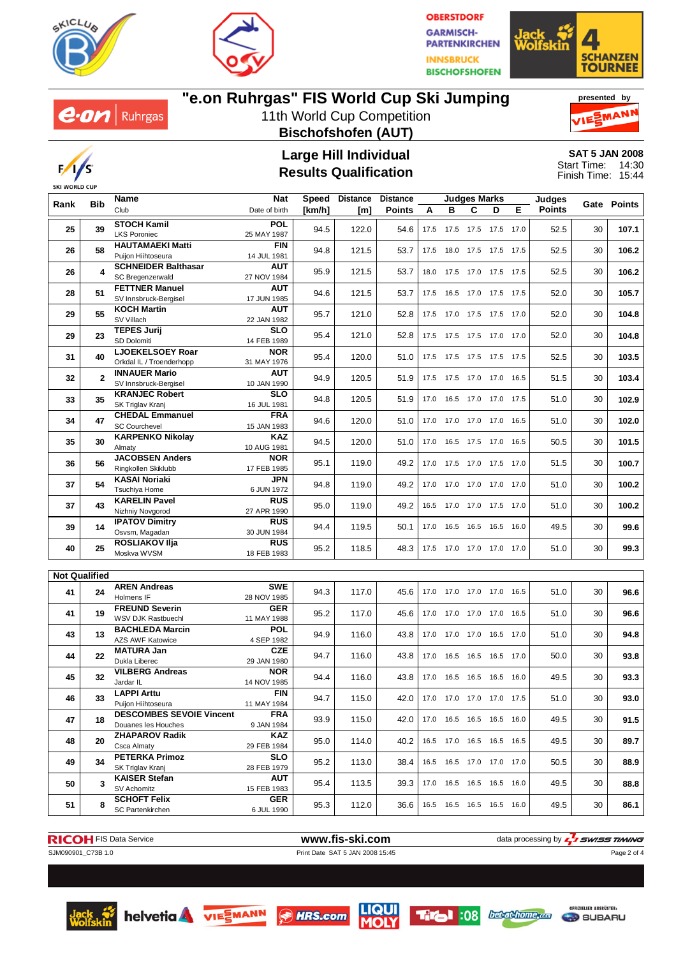



**OBERSTDORF GARMISCH-PARTENKIRCHEN INNSBRUCK BISCHOFSHOFEN** 





# **"e.on Ruhrgas" FIS World Cup Ski Jumping**

11th World Cup Competition **Bischofshofen (AUT)**





#### **Large Hill Individual Results Qualification**

**SAT 5 JAN 2008** 14:30 15:44 Start Time: Finish Time:

|                      | <b>Bib</b> | Name                                                   | Nat<br>Speed              |        | <b>Distance</b> | <b>Distance</b> |      |      | <b>Judges Marks</b>          |   |      | <b>Judges</b> |    | Gate Points |
|----------------------|------------|--------------------------------------------------------|---------------------------|--------|-----------------|-----------------|------|------|------------------------------|---|------|---------------|----|-------------|
| Rank                 |            | Club                                                   | Date of birth             | [km/h] | [m]             | <b>Points</b>   | A    | в    | C                            | D | Е    | <b>Points</b> |    |             |
| 25                   | 39         | <b>STOCH Kamil</b><br><b>LKS Poroniec</b>              | <b>POL</b><br>25 MAY 1987 | 94.5   | 122.0           | 54.6            |      |      | 17.5 17.5 17.5 17.5 17.0     |   |      | 52.5          | 30 | 107.1       |
| 26                   | 58         | <b>HAUTAMAEKI Matti</b><br>Puijon Hiihtoseura          | <b>FIN</b><br>14 JUL 1981 | 94.8   | 121.5           | 53.7            | 17.5 |      | 18.0 17.5 17.5               |   | 17.5 | 52.5          | 30 | 106.2       |
| 26                   | 4          | <b>SCHNEIDER Balthasar</b><br>SC Bregenzerwald         | <b>AUT</b><br>27 NOV 1984 | 95.9   | 121.5           | 53.7            |      |      | 18.0 17.5 17.0 17.5          |   | 17.5 | 52.5          | 30 | 106.2       |
| 28                   | 51         | <b>FETTNER Manuel</b><br>SV Innsbruck-Bergisel         | <b>AUT</b><br>17 JUN 1985 | 94.6   | 121.5           | 53.7            | 17.5 | 16.5 | 17.0 17.5                    |   | 17.5 | 52.0          | 30 | 105.7       |
| 29                   | 55         | <b>KOCH Martin</b><br>SV Villach                       | <b>AUT</b><br>22 JAN 1982 | 95.7   | 121.0           | 52.8            |      |      | 17.5 17.0 17.5 17.5          |   | 17.0 | 52.0          | 30 | 104.8       |
| 29                   | 23         | <b>TEPES Jurij</b><br>SD Dolomiti                      | <b>SLO</b><br>14 FEB 1989 | 95.4   | 121.0           | 52.8            |      |      | 17.5 17.5 17.5 17.0 17.0     |   |      | 52.0          | 30 | 104.8       |
| 31                   | 40         | <b>LJOEKELSOEY Roar</b><br>Orkdal IL / Troenderhopp    | <b>NOR</b><br>31 MAY 1976 | 95.4   | 120.0           | 51.0            |      |      | 17.5 17.5 17.5 17.5 17.5     |   |      | 52.5          | 30 | 103.5       |
| 32                   | 2          | <b>INNAUER Mario</b><br>SV Innsbruck-Bergisel          | <b>AUT</b><br>10 JAN 1990 | 94.9   | 120.5           | 51.9            |      |      | 17.5 17.5 17.0 17.0 16.5     |   |      | 51.5          | 30 | 103.4       |
| 33                   | 35         | <b>KRANJEC Robert</b><br>SK Triglav Kranj              | <b>SLO</b><br>16 JUL 1981 | 94.8   | 120.5           | 51.9            |      |      | 17.0  16.5  17.0  17.0  17.5 |   |      | 51.0          | 30 | 102.9       |
| 34                   | 47         | <b>CHEDAL Emmanuel</b><br><b>SC Courchevel</b>         | <b>FRA</b><br>15 JAN 1983 | 94.6   | 120.0           | 51.0            |      |      | 17.0 17.0 17.0 17.0 16.5     |   |      | 51.0          | 30 | 102.0       |
| 35                   | 30         | <b>KARPENKO Nikolay</b><br>Almaty                      | <b>KAZ</b><br>10 AUG 1981 | 94.5   | 120.0           | 51.0            | 17.0 |      | 16.5 17.5 17.0               |   | 16.5 | 50.5          | 30 | 101.5       |
| 36                   | 56         | <b>JACOBSEN Anders</b><br>Ringkollen Skiklubb          | <b>NOR</b><br>17 FEB 1985 | 95.1   | 119.0           | 49.2            | 17.0 |      | 17.5 17.0 17.5               |   | 17.0 | 51.5          | 30 | 100.7       |
| 37                   | 54         | KASAI Noriaki<br>Tsuchiya Home                         | JPN<br>6 JUN 1972         | 94.8   | 119.0           | 49.2            |      |      | 17.0  17.0  17.0  17.0  17.0 |   |      | 51.0          | 30 | 100.2       |
| 37                   | 43         | <b>KARELIN Pavel</b><br>Nizhniy Novgorod               | <b>RUS</b><br>27 APR 1990 | 95.0   | 119.0           | 49.2            |      |      | 16.5 17.0 17.0 17.5          |   | 17.0 | 51.0          | 30 | 100.2       |
| 39                   | 14         | <b>IPATOV Dimitry</b><br>Osvsm, Magadan                | <b>RUS</b><br>30 JUN 1984 | 94.4   | 119.5           | 50.1            |      |      | 17.0  16.5  16.5  16.5       |   | 16.0 | 49.5          | 30 | 99.6        |
| 40                   | 25         | ROSLIAKOV IIja<br>Moskva WVSM                          | <b>RUS</b><br>18 FEB 1983 | 95.2   | 118.5           | 48.3            |      |      | 17.5 17.0 17.0 17.0 17.0     |   |      | 51.0          | 30 | 99.3        |
| <b>Not Qualified</b> |            |                                                        |                           |        |                 |                 |      |      |                              |   |      |               |    |             |
| 41                   | 24         | <b>AREN Andreas</b><br>Holmens IF                      | SWE<br>28 NOV 1985        | 94.3   | 117.0           | 45.6            |      |      | 17.0 17.0 17.0 17.0          |   | 16.5 | 51.0          | 30 | 96.6        |
| 41                   | 19         | <b>FREUND Severin</b><br>WSV DJK Rastbuechl            | <b>GER</b><br>11 MAY 1988 | 95.2   | 117.0           | 45.6            | 17.0 | 17.0 | 17.0 17.0                    |   | 16.5 | 51.0          | 30 | 96.6        |
| 43                   | 13         | <b>BACHLEDA Marcin</b><br><b>AZS AWF Katowice</b>      | <b>POL</b><br>4 SEP 1982  | 94.9   | 116.0           | 43.8            |      |      | 17.0 17.0 17.0 16.5          |   | 17.0 | 51.0          | 30 | 94.8        |
| 44                   | 22         | <b>MATURA Jan</b><br>Dukla Liberec                     | <b>CZE</b><br>29 JAN 1980 | 94.7   | 116.0           | 43.8            | 17.0 | 16.5 | 16.5 16.5                    |   | 17.0 | 50.0          | 30 | 93.8        |
| 45                   | 32         | <b>VILBERG Andreas</b><br>Jardar IL                    | <b>NOR</b><br>14 NOV 1985 | 94.4   | 116.0           | 43.8            |      |      | 17.0  16.5  16.5  16.5       |   | 16.0 | 49.5          | 30 | 93.3        |
| 46                   | 33         | <b>LAPPI Arttu</b><br>Puijon Hiihtoseura               | <b>FIN</b><br>11 MAY 1984 | 94.7   | 115.0           | 42.0            |      |      | 17.0 17.0 17.0 17.0          |   | 17.5 | 51.0          | 30 | 93.0        |
| 47                   | 18         | <b>DESCOMBES SEVOIE Vincent</b><br>Douanes les Houches | <b>FRA</b><br>9 JAN 1984  | 93.9   | 115.0           | 42.0            |      |      | 17.0  16.5  16.5  16.5  16.0 |   |      | 49.5          | 30 | 91.5        |
| 48                   | 20         | <b>ZHAPAROV Radik</b><br>Csca Almaty                   | KAZ<br>29 FEB 1984        | 95.0   | 114.0           | 40.2            |      |      | 16.5 17.0 16.5 16.5 16.5     |   |      | 49.5          | 30 | 89.7        |
| 49                   | 34         | <b>PETERKA Primoz</b><br>SK Triglav Kranj              | <b>SLO</b><br>28 FEB 1979 | 95.2   | 113.0           | 38.4            | 16.5 |      | 16.5 17.0 17.0 17.0          |   |      | 50.5          | 30 | 88.9        |
| 50                   | 3          | <b>KAISER Stefan</b><br>SV Achomitz                    | <b>AUT</b><br>15 FEB 1983 | 95.4   | 113.5           | 39.3            |      |      | 17.0 16.5 16.5 16.5 16.0     |   |      | 49.5          | 30 | 88.8        |
| 51                   | 8          | <b>SCHOFT Felix</b><br><b>SC Partenkirchen</b>         | <b>GER</b><br>6 JUL 1990  | 95.3   | 112.0           | 36.6            |      |      | 16.5 16.5 16.5 16.5 16.0     |   |      | 49.5          | 30 | 86.1        |





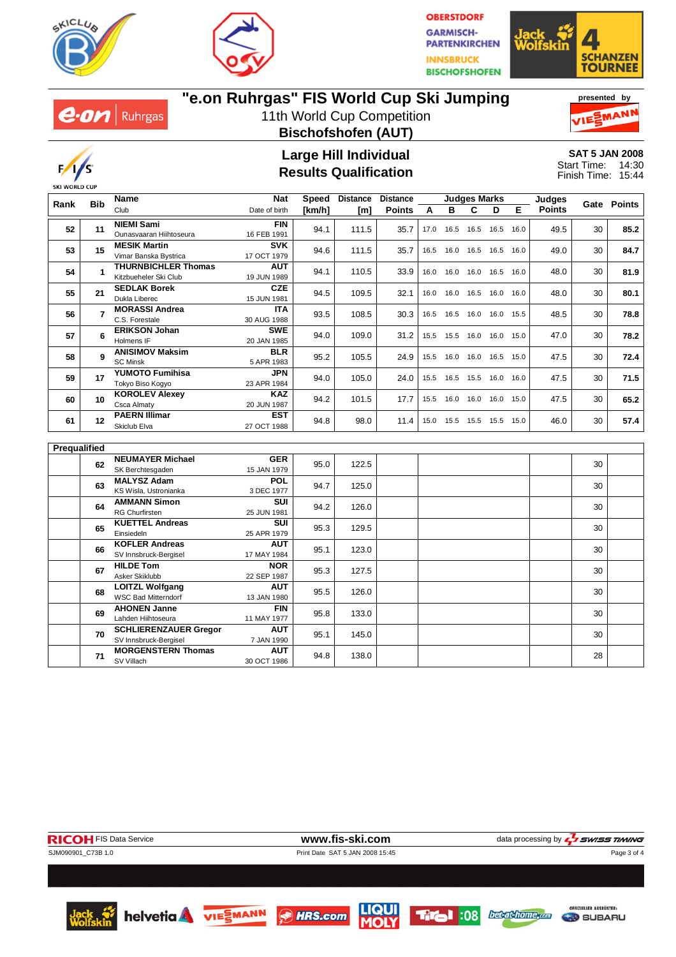



**OBERSTDORF GARMISCH-PARTENKIRCHEN INNSBRUCK BISCHOFSHOFEN** 





# **"e.on Ruhrgas" FIS World Cup Ski Jumping**

11th World Cup Competition **Bischofshofen (AUT)**





#### **Large Hill Individual Results Qualification**

**SAT 5 JAN 2008** 14:30 15:44 Start Time: Finish Time:

|              | <b>Bib</b>     | Name                                                  | <b>Nat</b>                | Speed  | <b>Distance</b> | <b>Distance</b> | <b>Judges Marks</b> |   |                     | <b>Judges</b>                | Gate Points        |      |    |      |
|--------------|----------------|-------------------------------------------------------|---------------------------|--------|-----------------|-----------------|---------------------|---|---------------------|------------------------------|--------------------|------|----|------|
| Rank         |                | Club                                                  | Date of birth             | [km/h] | [m]             | <b>Points</b>   | A                   | B | C                   | D                            | Е<br><b>Points</b> |      |    |      |
| 52           | 11             | <b>NIEMI Sami</b><br>Ounasvaaran Hiihtoseura          | <b>FIN</b><br>16 FEB 1991 | 94.1   | 111.5           | 35.7            | 17.0                |   | 16.5 16.5 16.5      |                              | 16.0               | 49.5 | 30 | 85.2 |
| 53           | 15             | <b>MESIK Martin</b><br>Vimar Banska Bystrica          | <b>SVK</b><br>17 OCT 1979 | 94.6   | 111.5           | 35.7            |                     |   |                     | 16.5 16.0 16.5 16.5 16.0     |                    | 49.0 | 30 | 84.7 |
| 54           | 1              | <b>THURNBICHLER Thomas</b><br>Kitzbueheler Ski Club   | <b>AUT</b><br>19 JUN 1989 | 94.1   | 110.5           | 33.9            | 16.0                |   | 16.0 16.0 16.5      |                              | 16.0               | 48.0 | 30 | 81.9 |
| 55           | 21             | <b>SEDLAK Borek</b><br>Dukla Liberec                  | CZE<br>15 JUN 1981        | 94.5   | 109.5           | 32.1            | 16.0                |   |                     | 16.0 16.5 16.0 16.0          |                    | 48.0 | 30 | 80.1 |
| 56           | $\overline{7}$ | <b>MORASSI Andrea</b><br>C.S. Forestale               | <b>ITA</b><br>30 AUG 1988 | 93.5   | 108.5           | 30.3            |                     |   |                     | 16.5 16.5 16.0 16.0 15.5     |                    | 48.5 | 30 | 78.8 |
| 57           | 6              | <b>ERIKSON Johan</b><br>Holmens IF                    | <b>SWE</b><br>20 JAN 1985 | 94.0   | 109.0           | 31.2            | 15.5                |   | 15.5 16.0 16.0      |                              | 15.0               | 47.0 | 30 | 78.2 |
| 58           | 9              | <b>ANISIMOV Maksim</b><br><b>SC Minsk</b>             | <b>BLR</b><br>5 APR 1983  | 95.2   | 105.5           | 24.9            |                     |   |                     | 15.5  16.0  16.0  16.5  15.0 |                    | 47.5 | 30 | 72.4 |
| 59           | 17             | <b>YUMOTO Fumihisa</b><br>Tokyo Biso Kogyo            | <b>JPN</b><br>23 APR 1984 | 94.0   | 105.0           | 24.0            |                     |   |                     | 15.5 16.5 15.5 16.0 16.0     |                    | 47.5 | 30 | 71.5 |
| 60           | 10             | <b>KOROLEV Alexey</b><br>Csca Almaty                  | <b>KAZ</b><br>20 JUN 1987 | 94.2   | 101.5           | 17.7            |                     |   | 15.5 16.0 16.0 16.0 |                              | 15.0               | 47.5 | 30 | 65.2 |
| 61           | 12             | <b>PAERN Illimar</b><br>Skiclub Elva                  | <b>EST</b><br>27 OCT 1988 | 94.8   | 98.0            | 11.4            |                     |   |                     | 15.0 15.5 15.5 15.5 15.0     |                    | 46.0 | 30 | 57.4 |
| Prequalified |                |                                                       |                           |        |                 |                 |                     |   |                     |                              |                    |      |    |      |
|              | 62             | <b>NEUMAYER Michael</b><br>SK Berchtesgaden           | <b>GER</b><br>15 JAN 1979 | 95.0   | 122.5           |                 |                     |   |                     |                              |                    |      | 30 |      |
|              | 63             | <b>MALYSZ Adam</b><br>KS Wisla, Ustronianka           | <b>POL</b><br>3 DEC 1977  | 94.7   | 125.0           |                 |                     |   |                     |                              |                    |      | 30 |      |
|              | 64             | <b>AMMANN Simon</b><br><b>RG Churfirsten</b>          | <b>SUI</b><br>25 JUN 1981 | 94.2   | 126.0           |                 |                     |   |                     |                              |                    |      | 30 |      |
|              | 65             | <b>KUETTEL Andreas</b><br>Einsiedeln                  | SUI<br>25 APR 1979        | 95.3   | 129.5           |                 |                     |   |                     |                              |                    |      | 30 |      |
|              | 66             | <b>KOFLER Andreas</b><br>SV Innsbruck-Bergisel        | <b>AUT</b><br>17 MAY 1984 | 95.1   | 123.0           |                 |                     |   |                     |                              |                    |      | 30 |      |
|              | 67             | <b>HILDE Tom</b><br>Asker Skiklubb                    | <b>NOR</b><br>22 SEP 1987 | 95.3   | 127.5           |                 |                     |   |                     |                              |                    |      | 30 |      |
|              | 68             | <b>LOITZL Wolfgang</b><br><b>WSC Bad Mitterndorf</b>  | <b>AUT</b><br>13 JAN 1980 | 95.5   | 126.0           |                 |                     |   |                     |                              |                    |      | 30 |      |
|              | 69             | <b>AHONEN Janne</b><br>Lahden Hiihtoseura             | <b>FIN</b><br>11 MAY 1977 | 95.8   | 133.0           |                 |                     |   |                     |                              |                    |      | 30 |      |
|              | 70             | <b>SCHLIERENZAUER Gregor</b><br>SV Innsbruck-Bergisel | AUT<br>7 JAN 1990         | 95.1   | 145.0           |                 |                     |   |                     |                              |                    |      | 30 |      |
|              | 71             | <b>MORGENSTERN Thomas</b><br>SV Villach               | <b>AUT</b><br>30 OCT 1986 | 94.8   | 138.0           |                 |                     |   |                     |                              |                    |      | 28 |      |